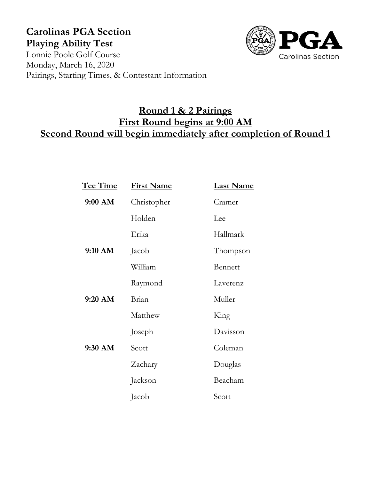## **Carolinas PGA Section Playing Ability Test** Lonnie Poole Golf Course



Monday, March 16, 2020 Pairings, Starting Times, & Contestant Information

# **Round 1 & 2 Pairings First Round begins at 9:00 AM Second Round will begin immediately after completion of Round 1**

| <u>Tee Time</u> | <b>First Name</b> | <b>Last Name</b> |
|-----------------|-------------------|------------------|
| 9:00 AM         | Christopher       | Cramer           |
|                 | Holden            | Lee              |
|                 | Erika             | Hallmark         |
| 9:10 AM         | Jacob             | Thompson         |
|                 | William           | <b>Bennett</b>   |
|                 | Raymond           | Laverenz         |
| $9:20$ AM       | Brian             | Muller           |
|                 | Matthew           | King             |
|                 | Joseph            | Davisson         |
| 9:30 AM         | Scott             | Coleman          |
|                 | Zachary           | Douglas          |
|                 | Jackson           | Beacham          |
|                 | Jacob             | Scott            |